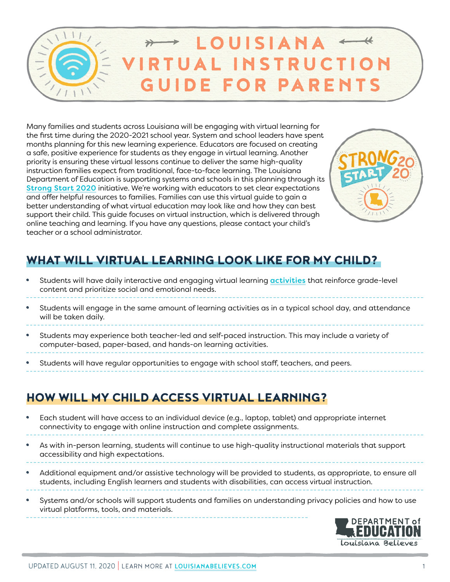

Many families and students across Louisiana will be engaging with virtual learning for the first time during the 2020-2021 school year. System and school leaders have spent months planning for this new learning experience. Educators are focused on creating a safe, positive experience for students as they engage in virtual learning. Another priority is ensuring these virtual lessons continue to deliver the same high-quality instruction families expect from traditional, face-to-face learning. The Louisiana Department of Education is supporting systems and schools in this planning through its [Strong Start 2020](https://louisianabelieves.com/resources/strong-start-2020) initiative. We're working with educators to set clear expectations and offer helpful resources to families. Families can use this virtual guide to gain a better understanding of what virtual education may look like and how they can best support their child. This guide focuses on virtual instruction, which is delivered through online teaching and learning. If you have any questions, please contact your child's teacher or a school administrator.



# WHAT WILL VIRTUAL LEARNING LOOK LIKE FOR MY CHILD?

- Students will have daily interactive and engaging virtual learning **[activities](https://www.louisianabelieves.com/docs/default-source/strong-start-2020/louisiana-virtual-instruction-guide---sample-student-schedules.pdf?sfvrsn=62a0991f_2)** that reinforce grade-level content and prioritize social and emotional needs.
- Students will engage in the same amount of learning activities as in a typical school day, and attendance will be taken daily.
- Students may experience both teacher-led and self-paced instruction. This may include a variety of computer-based, paper-based, and hands-on learning activities.
- Students will have regular opportunities to engage with school staff, teachers, and peers.

### HOW WILL MY CHILD ACCESS VIRTUAL LEARNING?

- Each student will have access to an individual device (e.g., laptop, tablet) and appropriate internet connectivity to engage with online instruction and complete assignments.
- As with in-person learning, students will continue to use high-quality instructional materials that support accessibility and high expectations.
- Additional equipment and/or assistive technology will be provided to students, as appropriate, to ensure all students, including English learners and students with disabilities, can access virtual instruction.
- Systems and/or schools will support students and families on understanding privacy policies and how to use virtual platforms, tools, and materials.